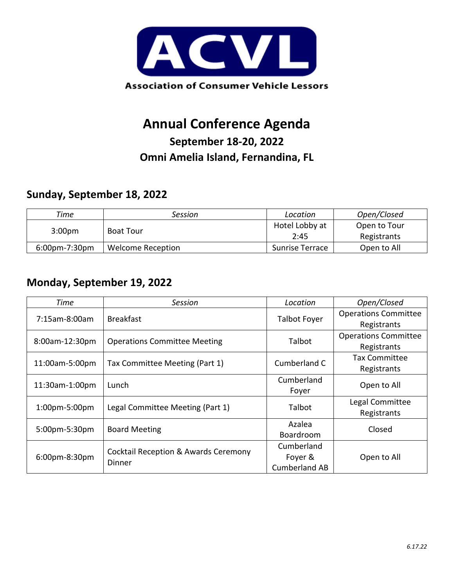

# **Annual Conference Agenda**

### **September 18-20, 2022 Omni Amelia Island, Fernandina, FL**

#### **Sunday, September 18, 2022**

| Time               | Session           | Location               | Open/Closed                 |
|--------------------|-------------------|------------------------|-----------------------------|
| 3:00 <sub>pm</sub> | <b>Boat Tour</b>  | Hotel Lobby at<br>2:45 | Open to Tour<br>Registrants |
| $6:00$ pm-7:30pm   | Welcome Reception | <b>Sunrise Terrace</b> | Open to All                 |

#### **Monday, September 19, 2022**

| Time                 | Session                                                   | Location             | Open/Closed                 |
|----------------------|-----------------------------------------------------------|----------------------|-----------------------------|
| 7:15am-8:00am        | <b>Breakfast</b>                                          | <b>Talbot Foyer</b>  | <b>Operations Committee</b> |
|                      |                                                           |                      | Registrants                 |
| 8:00am-12:30pm       | <b>Operations Committee Meeting</b>                       | Talbot               | <b>Operations Committee</b> |
|                      |                                                           |                      | Registrants                 |
| 11:00am-5:00pm       | Tax Committee Meeting (Part 1)                            | Cumberland C         | <b>Tax Committee</b>        |
|                      |                                                           |                      | Registrants                 |
| 11:30am-1:00pm       | Lunch                                                     | Cumberland           | Open to All                 |
|                      |                                                           | Foyer                |                             |
| $1:00$ pm $-5:00$ pm | Legal Committee Meeting (Part 1)                          | Talbot               | Legal Committee             |
|                      |                                                           |                      | Registrants                 |
| 5:00pm-5:30pm        | <b>Board Meeting</b>                                      | Azalea               | Closed                      |
|                      |                                                           | Boardroom            |                             |
| 6:00pm-8:30pm        | <b>Cocktail Reception &amp; Awards Ceremony</b><br>Dinner | Cumberland           |                             |
|                      |                                                           | Foyer &              | Open to All                 |
|                      |                                                           | <b>Cumberland AB</b> |                             |